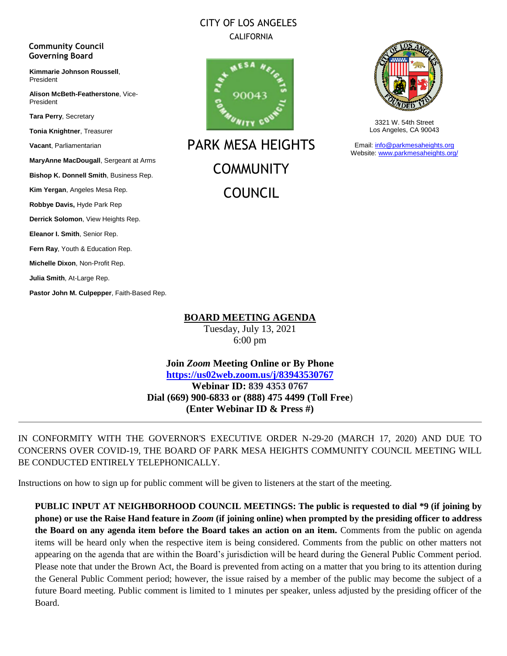#### CITY OF LOS ANGELES CALIFORNIA

#### **Community Council Governing Board**

**Kimmarie Johnson Roussell**, President

**Alison McBeth-Featherstone**, Vice-President

**Tara Perry**, Secretary

**Tonia Knightner**, Treasurer

**Vacant**, Parliamentarian

**MaryAnne MacDougall**, Sergeant at Arms

**Bishop K. Donnell Smith**, Business Rep.

**Kim Yergan**, Angeles Mesa Rep.

**Robbye Davis,** Hyde Park Rep

**Derrick Solomon**, View Heights Rep.

**Eleanor I. Smith**, Senior Rep.

**Fern Ray**, Youth & Education Rep.

**Michelle Dixon**, Non-Profit Rep.

**Julia Smith**, At-Large Rep.

**Pastor John M. Culpepper**, Faith-Based Rep.



PARK MESA HEIGHTS **COMMUNITY** COUNCIL



3321 W. 54th Street Los Angeles, CA 90043

Email: [info@parkmesaheights.org](mailto:info@parkmesaheights.org) Website: [www.parkmesaheights.org/](http://www.parkmesaheights.org/)

**BOARD MEETING AGENDA**

Tuesday, July 13, 2021 6:00 pm

**Join** *Zoom* **Meeting Online or By Phone <https://us02web.zoom.us/j/83943530767> Webinar ID: 839 4353 0767 Dial (669) 900-6833 or (888) 475 4499 (Toll Free**) **(Enter Webinar ID & Press #)**

IN CONFORMITY WITH THE GOVERNOR'S EXECUTIVE ORDER N-29-20 (MARCH 17, 2020) AND DUE TO CONCERNS OVER COVID-19, THE BOARD OF PARK MESA HEIGHTS COMMUNITY COUNCIL MEETING WILL BE CONDUCTED ENTIRELY TELEPHONICALLY.

Instructions on how to sign up for public comment will be given to listeners at the start of the meeting.

**PUBLIC INPUT AT NEIGHBORHOOD COUNCIL MEETINGS: The public is requested to dial \*9 (if joining by phone) or use the Raise Hand feature in** *Zoom* **(if joining online) when prompted by the presiding officer to address the Board on any agenda item before the Board takes an action on an item.** Comments from the public on agenda items will be heard only when the respective item is being considered. Comments from the public on other matters not appearing on the agenda that are within the Board's jurisdiction will be heard during the General Public Comment period. Please note that under the Brown Act, the Board is prevented from acting on a matter that you bring to its attention during the General Public Comment period; however, the issue raised by a member of the public may become the subject of a future Board meeting. Public comment is limited to 1 minutes per speaker, unless adjusted by the presiding officer of the Board.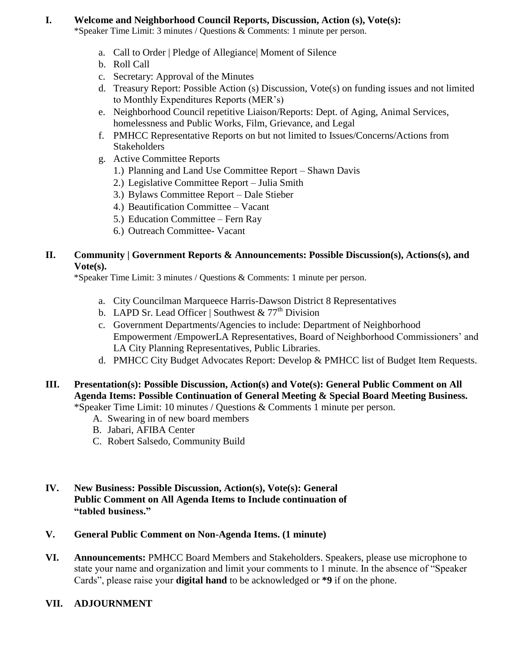#### **I. Welcome and Neighborhood Council Reports, Discussion, Action (s), Vote(s):**

\*Speaker Time Limit: 3 minutes / Questions & Comments: 1 minute per person.

- a. Call to Order | Pledge of Allegiance| Moment of Silence
- b. Roll Call
- c. Secretary: Approval of the Minutes
- d. Treasury Report: Possible Action (s) Discussion, Vote(s) on funding issues and not limited to Monthly Expenditures Reports (MER's)
- e. Neighborhood Council repetitive Liaison/Reports: Dept. of Aging, Animal Services, homelessness and Public Works, Film, Grievance, and Legal
- f. PMHCC Representative Reports on but not limited to Issues/Concerns/Actions from **Stakeholders**
- g. Active Committee Reports
	- 1.) Planning and Land Use Committee Report Shawn Davis
	- 2.) Legislative Committee Report Julia Smith
	- 3.) Bylaws Committee Report Dale Stieber
	- 4.) Beautification Committee Vacant
	- 5.) Education Committee Fern Ray
	- 6.) Outreach Committee- Vacant

#### **II. Community | Government Reports & Announcements: Possible Discussion(s), Actions(s), and Vote(s).**

\*Speaker Time Limit: 3 minutes / Questions & Comments: 1 minute per person.

- a. City Councilman Marqueece Harris-Dawson District 8 Representatives
- b. LAPD Sr. Lead Officer | Southwest &  $77<sup>th</sup>$  Division
- c. Government Departments/Agencies to include: Department of Neighborhood Empowerment /EmpowerLA Representatives, Board of Neighborhood Commissioners' and LA City Planning Representatives, Public Libraries.
- d. PMHCC City Budget Advocates Report: Develop & PMHCC list of Budget Item Requests.
- **III.** Presentation(s): Possible Discussion, Action(s) and Vote(s): General Public Comment on All **Agenda Items: Possible Continuation of General Meeting & Special Board Meeting Business.**  \*Speaker Time Limit: 10 minutes / Questions & Comments 1 minute per person.
	- A. Swearing in of new board members
	- B. Jabari, AFIBA Center
	- C. Robert Salsedo, Community Build
- **IV. New Business: Possible Discussion, Action(s), Vote(s): General Public Comment on All Agenda Items to Include continuation of "tabled business."**

### **V. General Public Comment on Non-Agenda Items. (1 minute)**

**VI. Announcements:** PMHCC Board Members and Stakeholders. Speakers, please use microphone to state your name and organization and limit your comments to 1 minute. In the absence of "Speaker Cards", please raise your **digital hand** to be acknowledged or **\*9** if on the phone.

### **VII. ADJOURNMENT**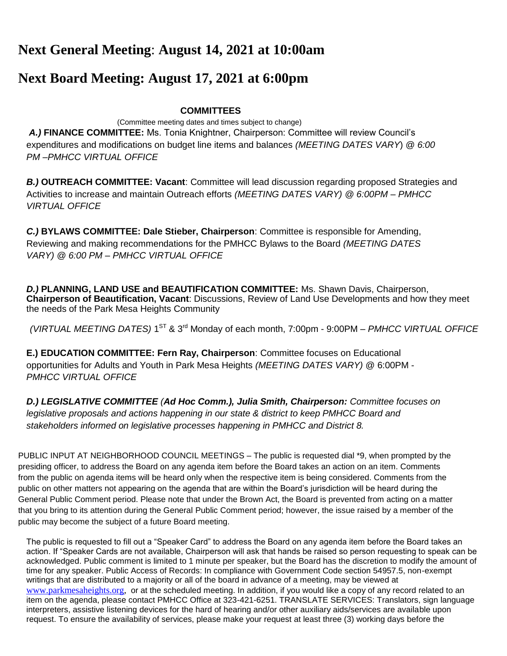## **Next General Meeting**: **August 14, 2021 at 10:00am**

# **Next Board Meeting: August 17, 2021 at 6:00pm**

## **COMMITTEES**

 (Committee meeting dates and times subject to change) *A.)* **FINANCE COMMITTEE:** Ms. Tonia Knightner, Chairperson: Committee will review Council's expenditures and modifications on budget line items and balances *(MEETING DATES VARY*) @ *6:00 PM –PMHCC VIRTUAL OFFICE*

*B.)* **OUTREACH COMMITTEE: Vacant**: Committee will lead discussion regarding proposed Strategies and Activities to increase and maintain Outreach efforts *(MEETING DATES VARY) @ 6:00PM – PMHCC VIRTUAL OFFICE*

*C.)* **BYLAWS COMMITTEE: Dale Stieber, Chairperson**: Committee is responsible for Amending, Reviewing and making recommendations for the PMHCC Bylaws to the Board *(MEETING DATES VARY) @ 6:00 PM – PMHCC VIRTUAL OFFICE*

*D.)* **PLANNING, LAND USE and BEAUTIFICATION COMMITTEE:** Ms. Shawn Davis, Chairperson, **Chairperson of Beautification, Vacant**: Discussions, Review of Land Use Developments and how they meet the needs of the Park Mesa Heights Community

*(VIRTUAL MEETING DATES)* 1 ST & 3rd Monday of each month, 7:00pm - 9:00PM *– PMHCC VIRTUAL OFFICE*

**E.) EDUCATION COMMITTEE: Fern Ray, Chairperson**: Committee focuses on Educational opportunities for Adults and Youth in Park Mesa Heights *(MEETING DATES VARY)* @ 6:00PM - *PMHCC VIRTUAL OFFICE*

*D.) LEGISLATIVE COMMITTEE (Ad Hoc Comm.), Julia Smith, Chairperson: Committee focuses on*  legislative proposals and actions happening in our state & district to keep PMHCC Board and *stakeholders informed on legislative processes happening in PMHCC and District 8.*

PUBLIC INPUT AT NEIGHBORHOOD COUNCIL MEETINGS – The public is requested dial \*9, when prompted by the presiding officer, to address the Board on any agenda item before the Board takes an action on an item. Comments from the public on agenda items will be heard only when the respective item is being considered. Comments from the public on other matters not appearing on the agenda that are within the Board's jurisdiction will be heard during the General Public Comment period. Please note that under the Brown Act, the Board is prevented from acting on a matter that you bring to its attention during the General Public Comment period; however, the issue raised by a member of the public may become the subject of a future Board meeting.

The public is requested to fill out a "Speaker Card" to address the Board on any agenda item before the Board takes an action. If "Speaker Cards are not available, Chairperson will ask that hands be raised so person requesting to speak can be acknowledged. Public comment is limited to 1 minute per speaker, but the Board has the discretion to modify the amount of time for any speaker. Public Access of Records: In compliance with Government Code section 54957.5, non-exempt writings that are distributed to a majority or all of the board in advance of a meeting, may be viewed a[t](http://www.pmhcc90043.org/) [www.parkmesaheights.org,](http://www.parkmesaheights.org/) or at the scheduled meeting. In addition, if you would like a copy of any record related to an item on the agenda, please contact PMHCC Office at 323-421-6251. TRANSLATE SERVICES: Translators, sign language interpreters, assistive listening devices for the hard of hearing and/or other auxiliary aids/services are available upon request. To ensure the availability of services, please make your request at least three (3) working days before the